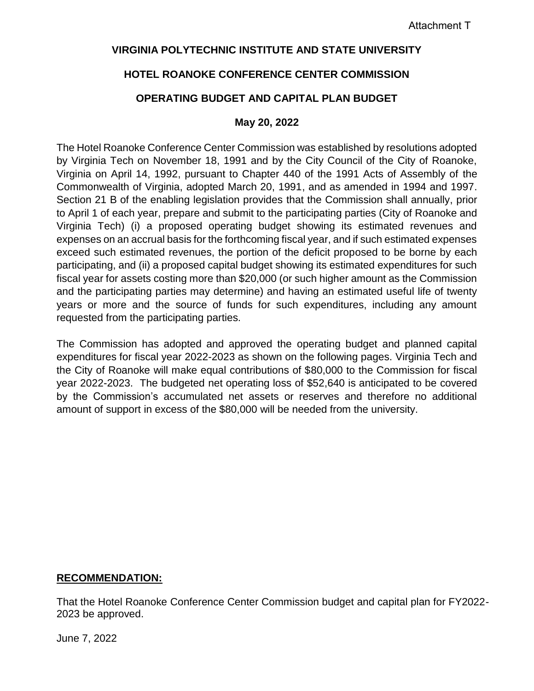## **VIRGINIA POLYTECHNIC INSTITUTE AND STATE UNIVERSITY**

# **HOTEL ROANOKE CONFERENCE CENTER COMMISSION**

# **OPERATING BUDGET AND CAPITAL PLAN BUDGET**

#### **May 20, 2022**

The Hotel Roanoke Conference Center Commission was established by resolutions adopted by Virginia Tech on November 18, 1991 and by the City Council of the City of Roanoke, Virginia on April 14, 1992, pursuant to Chapter 440 of the 1991 Acts of Assembly of the Commonwealth of Virginia, adopted March 20, 1991, and as amended in 1994 and 1997. Section 21 B of the enabling legislation provides that the Commission shall annually, prior to April 1 of each year, prepare and submit to the participating parties (City of Roanoke and Virginia Tech) (i) a proposed operating budget showing its estimated revenues and expenses on an accrual basis for the forthcoming fiscal year, and if such estimated expenses exceed such estimated revenues, the portion of the deficit proposed to be borne by each participating, and (ii) a proposed capital budget showing its estimated expenditures for such fiscal year for assets costing more than \$20,000 (or such higher amount as the Commission and the participating parties may determine) and having an estimated useful life of twenty years or more and the source of funds for such expenditures, including any amount requested from the participating parties.

The Commission has adopted and approved the operating budget and planned capital expenditures for fiscal year 2022-2023 as shown on the following pages. Virginia Tech and the City of Roanoke will make equal contributions of \$80,000 to the Commission for fiscal year 2022-2023. The budgeted net operating loss of \$52,640 is anticipated to be covered by the Commission's accumulated net assets or reserves and therefore no additional amount of support in excess of the \$80,000 will be needed from the university.

## **RECOMMENDATION:**

That the Hotel Roanoke Conference Center Commission budget and capital plan for FY2022- 2023 be approved.

June 7, 2022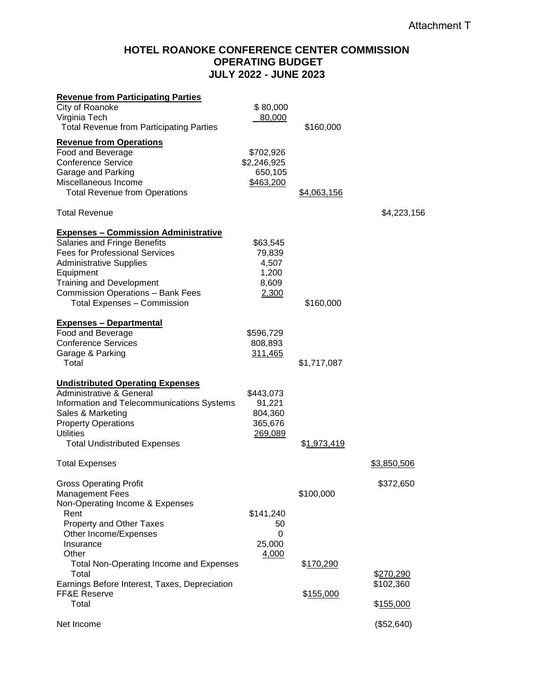## **HOTEL ROANOKE CONFERENCE CENTER COMMISSION OPERATING BUDGET JULY 2022 - JUNE 2023**

| <b>Revenue from Participating Parties</b>       |             |                     |             |
|-------------------------------------------------|-------------|---------------------|-------------|
| City of Roanoke                                 | \$80,000    |                     |             |
| Virginia Tech                                   | 80,000      |                     |             |
| <b>Total Revenue from Participating Parties</b> |             | \$160,000           |             |
| <b>Revenue from Operations</b>                  |             |                     |             |
| Food and Beverage                               | \$702,926   |                     |             |
| <b>Conference Service</b>                       | \$2,246,925 |                     |             |
| Garage and Parking                              | 650,105     |                     |             |
| Miscellaneous Income                            | \$463,200   |                     |             |
| <b>Total Revenue from Operations</b>            |             | <u>\$4,063,156</u>  |             |
| <b>Total Revenue</b>                            |             |                     | \$4,223,156 |
| <b>Expenses - Commission Administrative</b>     |             |                     |             |
| Salaries and Fringe Benefits                    | \$63,545    |                     |             |
| <b>Fees for Professional Services</b>           | 79,839      |                     |             |
| <b>Administrative Supplies</b>                  | 4,507       |                     |             |
| Equipment                                       | 1,200       |                     |             |
| <b>Training and Development</b>                 | 8,609       |                     |             |
| <b>Commission Operations - Bank Fees</b>        | 2,300       |                     |             |
| <b>Total Expenses - Commission</b>              |             | \$160,000           |             |
| <b>Expenses - Departmental</b>                  |             |                     |             |
| Food and Beverage                               | \$596,729   |                     |             |
| <b>Conference Services</b>                      | 808,893     |                     |             |
| Garage & Parking                                | 311,465     |                     |             |
| Total                                           |             | \$1,717,087         |             |
| <b>Undistributed Operating Expenses</b>         |             |                     |             |
| Administrative & General                        | \$443,073   |                     |             |
| Information and Telecommunications Systems      | 91,221      |                     |             |
| Sales & Marketing                               | 804,360     |                     |             |
| <b>Property Operations</b>                      | 365,676     |                     |             |
| <b>Utilities</b>                                | 269,089     |                     |             |
| <b>Total Undistributed Expenses</b>             |             | \$ <u>1,973,419</u> |             |
| <b>Total Expenses</b>                           |             |                     | \$3,850,506 |
| <b>Gross Operating Profit</b>                   |             |                     | \$372,650   |
| <b>Management Fees</b>                          |             | \$100,000           |             |
| Non-Operating Income & Expenses                 |             |                     |             |
| Rent                                            | \$141,240   |                     |             |
| Property and Other Taxes                        | 50          |                     |             |
| Other Income/Expenses                           | 0           |                     |             |
| Insurance                                       | 25,000      |                     |             |
| Other                                           | 4,000       |                     |             |
| <b>Total Non-Operating Income and Expenses</b>  |             | \$170,290           |             |
| Total                                           |             |                     | \$270,290   |
| Earnings Before Interest, Taxes, Depreciation   |             |                     | \$102,360   |
| FF&E Reserve                                    |             | \$155,000           |             |
| Total                                           |             |                     | \$155,000   |
| Net Income                                      |             |                     | (\$52,640)  |